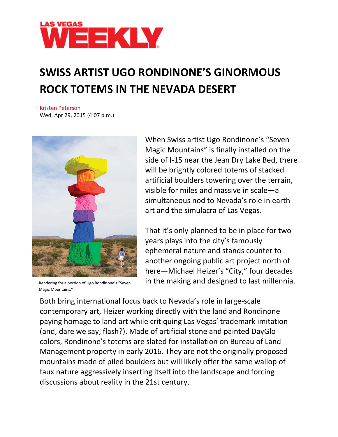

## **SWISS ARTIST UGO RONDINONE'S GINORMOUS ROCK TOTEMS IN THE NEVADA DESERT**

Kristen [Peterson](http://lasvegasweekly.com/staff/kristen-peterson/) Wed, Apr 29, 2015 (4:07 p.m.)



Rendering for a portion of Ugo Rondinone's "Seven Magic Mountains."

When Swiss artist Ugo Rondinone's "Seven Magic Mountains" is finally installed on the side of I-15 near the Jean Dry Lake Bed, there will be brightly colored totems of stacked artificial boulders towering over the terrain, visible for miles and massive in scale—a simultaneous nod to Nevada's role in earth art and the simulacra of Las Vegas.

That it's only planned to be in place for two years plays into the city's famously ephemeral nature and stands counter to another ongoing public art project north of here—Michael Heizer's "City," four decades in the making and designed to last millennia.

Both bring international focus back to Nevada's role in large-scale contemporary art, Heizer working directly with the land and Rondinone paying homage to land art while critiquing Las Vegas' trademark imitation (and, dare we say, flash?). Made of artificial stone and painted DayGlo colors, Rondinone's totems are slated for installation on Bureau of Land Management property in early 2016. They are not the originally proposed mountains made of piled boulders but will likely offer the same wallop of faux nature aggressively inserting itself into the landscape and forcing discussions about reality in the 21st century.